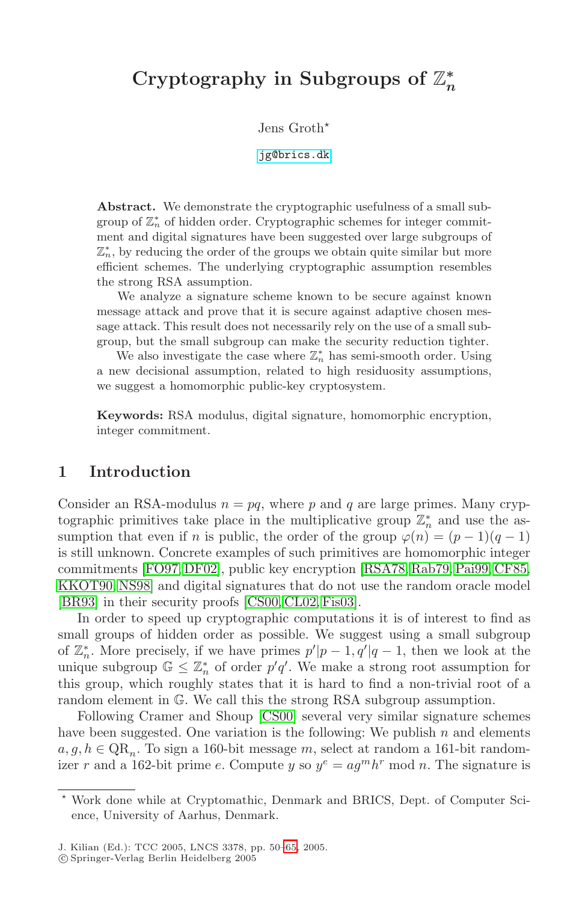# **Cryptography in Subgroups of** Z*<sup>∗</sup> n*

Jens Groth

[jg@brics.dk](mailto:jg@brics.dk)

**Abstract.** We demonstrate the cryptographic usefulness of a small subgroup of  $\mathbb{Z}_n^*$  of hidden order. Cryptographic schemes for integer commitment and digital signatures have been suggested over large subgroups of  $\mathbb{Z}_n^*$ , by reducing the order of the groups we obtain quite similar but more efficient schemes. The underlying cryptographic assumption resembles the strong RSA assumption.

We analyze a signature scheme known to be secure against known message attack and prove that it is secure against adaptive chosen message attack. This result does not necessarily rely on the use of a small subgroup, but the small subgroup can make the security reduction tighter.

We also investigate the case where  $\mathbb{Z}_n^*$  has semi-smooth order. Using a new decisional assumption, related to high residuosity assumptions, we suggest a homomorphic public-key cryptosystem.

**Keywords:** RSA modulus, digital signature, homomorphic encryption, integer commitment.

#### **1 Introduction**

Consider an RSA-modulus  $n = pq$ , where p and q are large primes. Many cryptographic primitives take place in the multiplicative group  $\mathbb{Z}_n^*$  and use the assumption that even if n is public, the order of the group  $\varphi(n)=(p-1)(q-1)$ is still unknown. Concrete examples of such primitives are homomorphic integer commitments [\[FO97, DF02\]](#page-14-0), public key encryption [\[RSA78, Rab79, Pai99,](#page-15-0) [CF85,](#page-13-0) [KKOT90,](#page-14-0) [NS98\]](#page-15-0) and digital signatures that do not use the random oracle model [\[BR93\]](#page-13-0) in their security proofs [\[CS00, CL02, Fis03\]](#page-14-0).

In order to speed up cryptographic computations it is of interest to find as small groups of hidden order as possible. We suggest using a small subgroup of  $\mathbb{Z}_n^*$ . More precisely, if we have primes  $p'|p-1, q'|q-1$ , then we look at the unique subgroup  $\mathbb{G} \leq \mathbb{Z}_n^*$  of order  $p'q'$ . We make a strong root assumption for this group, which roughly states that it is hard to find a non-trivial root of a random element in G. We call this the strong RSA subgroup assumption.

Following Cramer and Shoup [\[CS00\]](#page-14-0) several very similar signature schemes have been suggested. One variation is the following: We publish  $n$  and elements  $a, g, h \in \mathbb{Q}R_n$ . To sign a 160-bit message m, select at random a 161-bit randomizer r and a 162-bit prime e. Compute y so  $y^e = a g^m h^r \mod n$ . The signature is

Work done while at Cryptomathic, Denmark and BRICS, Dept. of Computer Science, University of Aarhus, Denmark.

c Springer-Verlag Berlin Heidelberg 2005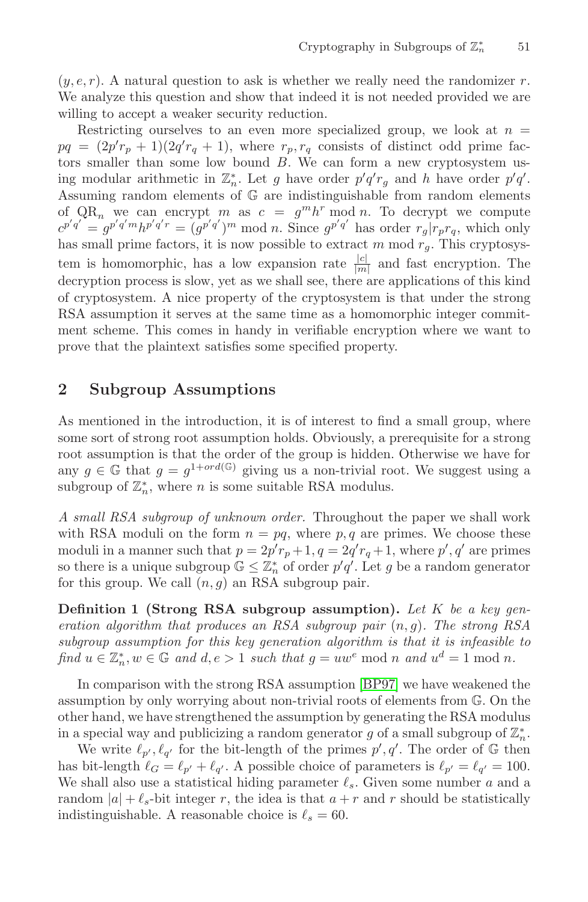<span id="page-1-0"></span> $(y, e, r)$ . A natural question to ask is whether we really need the randomizer r. We analyze this question and show that indeed it is not needed provided we are willing to accept a weaker security reduction.

Restricting ourselves to an even more specialized group, we look at  $n =$  $pq = (2p'r_p + 1)(2q'r_q + 1)$ , where  $r_p, r_q$  consists of distinct odd prime factors smaller than some low bound  $B$ . We can form a new cryptosystem using modular arithmetic in  $\mathbb{Z}_n^*$ . Let g have order  $p'q'r_g$  and h have order  $p'q'$ . Assuming random elements of G are indistinguishable from random elements of  $QR_n$  we can encrypt m as  $c = g^m h^r \mod n$ . To decrypt we compute  $c^{p'q'} = g^{p'q'm}h^{p'q'r} = (g^{p'q'})^m \bmod n$ . Since  $g^{p'q'}$  has order  $r_g|r_pr_q$ , which only has small prime factors, it is now possible to extract  $m \mod r_g$ . This cryptosystem is homomorphic, has a low expansion rate  $\frac{|c|}{|m|}$  and fast encryption. The decryption process is slow, yet as we shall see, there are applications of this kind of cryptosystem. A nice property of the cryptosystem is that under the strong RSA assumption it serves at the same time as a homomorphic integer commitment scheme. This comes in handy in verifiable encryption where we want to prove that the plaintext satisfies some specified property.

## **2 Subgroup Assumptions**

As mentioned in the introduction, it is of interest to find a small group, where some sort of strong root assumption holds. Obviously, a prerequisite for a strong root assumption is that the order of the group is hidden. Otherwise we have for any  $g \in \mathbb{G}$  that  $g = g^{1+ord(\mathbb{G})}$  giving us a non-trivial root. We suggest using a subgroup of  $\mathbb{Z}_n^*$ , where *n* is some suitable RSA modulus.

*A small RSA subgroup of unknown order.* Throughout the paper we shall work with RSA moduli on the form  $n = pq$ , where p, q are primes. We choose these moduli in a manner such that  $p = 2p'r_p + 1$ ,  $q = 2q'r_q + 1$ , where  $p'$ ,  $q'$  are primes so there is a unique subgroup  $\mathbb{G} \leq \mathbb{Z}_n^*$  of order  $p'q'$ . Let g be a random generator for this group. We call  $(n, g)$  an RSA subgroup pair.

**Definition 1 (Strong RSA subgroup assumption).** *Let* K *be a key generation algorithm that produces an RSA subgroup pair* (n, g)*. The strong RSA subgroup assumption for this key generation algorithm is that it is infeasible to find*  $u \in \mathbb{Z}_n^*$ ,  $w \in \mathbb{G}$  *and*  $d, e > 1$  *such that*  $g = uw^e \mod n$  *and*  $u^d = 1 \mod n$ *.* 

In comparison with the strong RSA assumption [\[BP97\]](#page-13-0) we have weakened the assumption by only worrying about non-trivial roots of elements from G. On the other hand, we have strengthened the assumption by generating the RSA modulus in a special way and publicizing a random generator  $g$  of a small subgroup of  $\mathbb{Z}_n^*$ .

We write  $\ell_{p'}, \ell_{q'}$  for the bit-length of the primes  $p', q'$ . The order of G then has bit-length  $\ell_G = \ell_{p'} + \ell_{q'}$ . A possible choice of parameters is  $\ell_{p'} = \ell_{q'} = 100$ . We shall also use a statistical hiding parameter  $\ell_s$ . Given some number a and a random  $|a| + \ell_s$ -bit integer r, the idea is that  $a + r$  and r should be statistically indistinguishable. A reasonable choice is  $\ell_s = 60$ .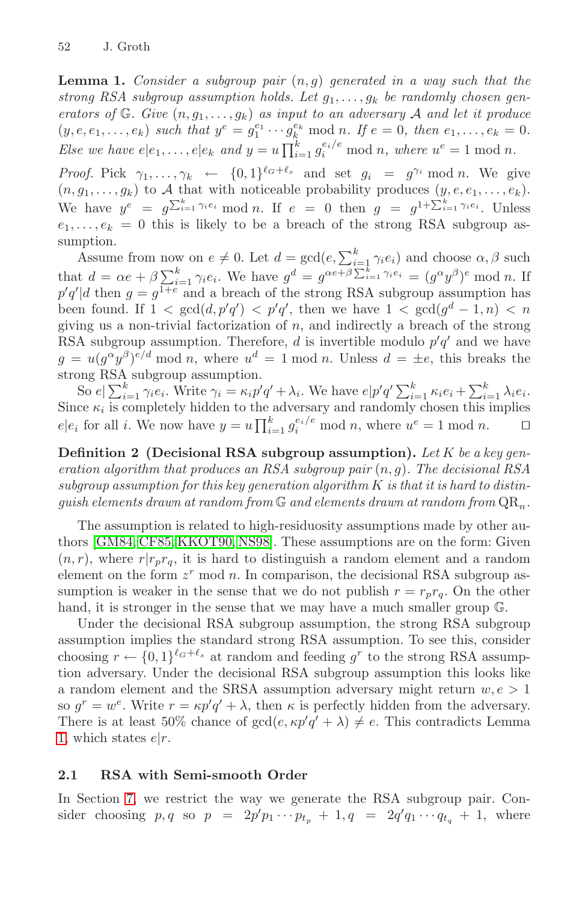**Lemma 1.** *Consider a subgroup pair* (n, g) *generated in a way such that the* strong RSA subgroup assumption holds. Let  $g_1, \ldots, g_k$  be randomly chosen gen*erators of*  $\mathbb{G}$ *. Give*  $(n, g_1, \ldots, g_k)$  *as input to an adversary*  $\mathcal{A}$  *and let it produce*  $(y, e, e_1, \ldots, e_k)$  *such that*  $y^e = g_1^{e_1} \cdots g_k^{e_k} \text{ mod } n$ *. If*  $e = 0$ *, then*  $e_1, \ldots, e_k = 0$ *. Else we have*  $e|e_1,\ldots,e|e_k$  and  $y=u\prod_{i=1}^k g_i^{e_i/e} \mod n$ , where  $u^e=1 \mod n$ .

*Proof.* Pick  $\gamma_1, \ldots, \gamma_k \leftarrow \{0, 1\}^{\ell_G + \ell_s}$  and set  $g_i = g^{\gamma_i} \mod n$ . We give  $(n, g_1, \ldots, g_k)$  to A that with noticeable probability produces  $(y, e, e_1, \ldots, e_k)$ . We have  $y^e = g^{\sum_{i=1}^k \gamma_i e_i} \mod n$ . If  $e = 0$  then  $g = g^{1 + \sum_{i=1}^k \gamma_i e_i}$ . Unless  $e_1,\ldots,e_k = 0$  this is likely to be a breach of the strong RSA subgroup assumption.

Assume from now on  $e \neq 0$ . Let  $d = \gcd(e, \sum_{i=1}^{k} \gamma_i e_i)$  and choose  $\alpha, \beta$  such that  $d = \alpha e + \beta \sum_{i=1}^{k} \gamma_i e_i$ . We have  $g^d = g^{\alpha e + \beta \sum_{i=1}^{k} \gamma_i e_i} = (g^{\alpha} y^{\beta})^e \text{ mod } n$ . If  $p'q' | d$  then  $g = g^{1+e}$  and a breach of the strong RSA subgroup assumption has been found. If  $1 < \gcd(d, p'q') < p'q'$ , then we have  $1 < \gcd(g^d - 1, n) < n$ giving us a non-trivial factorization of  $n$ , and indirectly a breach of the strong RSA subgroup assumption. Therefore, d is invertible modulo  $p'q'$  and we have  $g = u(q^{\alpha}y^{\beta})^{e/d}$  mod n, where  $u^{d} = 1$  mod n. Unless  $d = \pm e$ , this breaks the strong RSA subgroup assumption.

So  $e_i \sum_{i=1}^k \gamma_i e_i$ . Write  $\gamma_i = \kappa_i p' q' + \lambda_i$ . We have  $e_i p' q' \sum_{i=1}^k \kappa_i e_i + \sum_{i=1}^k \lambda_i e_i$ . Since  $\kappa_i$  is completely hidden to the adversary and randomly chosen this implies  $e|e_i$  for all *i*. We now have  $y = u \prod_{i=1}^k g_i^{e_i/e} \mod n$ , where  $u^e = 1 \mod n$ .  $\Box$ 

**Definition 2 (Decisional RSA subgroup assumption).** *Let* K *be a key generation algorithm that produces an RSA subgroup pair* (n, g)*. The decisional RSA subgroup assumption for this key generation algorithm* K *is that it is hard to distinguish elements drawn at random from*  $\mathbb{G}$  *and elements drawn at random from*  $\mathrm{QR}_n$ .

The assumption is related to high-residuosity assumptions made by other authors [\[GM84,](#page-14-0) [CF85,](#page-13-0) [KKOT90,](#page-14-0) [NS98\]](#page-15-0). These assumptions are on the form: Given  $(n, r)$ , where  $r|r_p r_q$ , it is hard to distinguish a random element and a random element on the form  $z^r$  mod n. In comparison, the decisional RSA subgroup assumption is weaker in the sense that we do not publish  $r = r_p r_q$ . On the other hand, it is stronger in the sense that we may have a much smaller group  $\mathbb{G}$ .

Under the decisional RSA subgroup assumption, the strong RSA subgroup assumption implies the standard strong RSA assumption. To see this, consider choosing  $r \leftarrow \{0,1\}^{\ell_G+\ell_s}$  at random and feeding  $g^r$  to the strong RSA assumption adversary. Under the decisional RSA subgroup assumption this looks like a random element and the SRSA assumption adversary might return  $w, e > 1$ so  $g^r = w^e$ . Write  $r = \kappa p' q' + \lambda$ , then  $\kappa$  is perfectly hidden from the adversary. There is at least 50% chance of  $gcd(e, \kappa p'q' + \lambda) \neq e$ . This contradicts Lemma [1,](#page-1-0) which states  $e|r$ .

#### **2.1 RSA with Semi-smooth Order**

In Section [7,](#page-11-0) we restrict the way we generate the RSA subgroup pair. Consider choosing  $p, q$  so  $p = 2p'p_1 \cdots p_{t_p} + 1, q = 2q'q_1 \cdots q_{t_q} + 1$ , where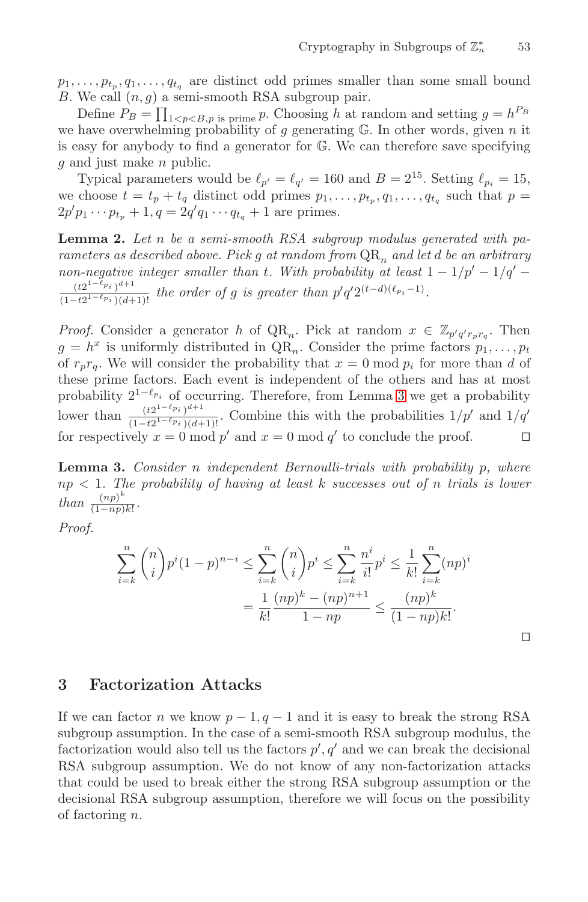<span id="page-3-0"></span> $p_1, \ldots, p_{t_p}, q_1, \ldots, q_{t_q}$  are distinct odd primes smaller than some small bound B. We call  $(n, g)$  a semi-smooth RSA subgroup pair.

Define  $P_B = \prod_{1 \le p \le B, p \text{ is prime}} p$ . Choosing h at random and setting  $g = h^{P_B}$ we have overwhelming probability of g generating  $\mathbb{G}$ . In other words, given n it is easy for anybody to find a generator for G. We can therefore save specifying g and just make n public.

Typical parameters would be  $\ell_{p'} = \ell_{q'} = 160$  and  $B = 2^{15}$ . Setting  $\ell_{p_i} = 15$ , we choose  $t = t_p + t_q$  distinct odd primes  $p_1, \ldots, p_{t_p}, q_1, \ldots, q_{t_q}$  such that  $p =$  $2p'p_1 \cdots p_{t_p} + 1, q = 2q'q_1 \cdots q_{t_q} + 1$  are primes.

**Lemma 2.** *Let* n *be a semi-smooth RSA subgroup modulus generated with parameters as described above. Pick g at random from*  $QR_n$  *and let d be an arbitrary non-negative integer smaller than* t. With probability at least  $1 - 1/p' - 1/q'$  $\frac{(t2^{1-\ell_{p_i}})^{d+1}}{(1-t2^{1-\ell_{p_i}})(d+1)!}$  *the order of g is greater than*  $p'q'2^{(t-d)(\ell_{p_i}-1)}$ *.* 

*Proof.* Consider a generator h of  $QR_n$ . Pick at random  $x \in \mathbb{Z}_{p'q'r_p r_q}$ . Then  $g = h^x$  is uniformly distributed in  $QR_n$ . Consider the prime factors  $p_1, \ldots, p_t$ of  $r_p r_q$ . We will consider the probability that  $x = 0 \mod p_i$  for more than d of these prime factors. Each event is independent of the others and has at most probability  $2^{1-\ell_{p_i}}$  of occurring. Therefore, from Lemma 3 we get a probability lower than  $\frac{(t2^{1-\ell p_i})^{d+1}}{(1-t2^{1-\ell p_i})(d+1)!}$ . Combine this with the probabilities  $1/p'$  and  $1/q'$ for respectively  $x = 0 \mod p'$  and  $x = 0 \mod q'$  to conclude the proof.

**Lemma 3.** *Consider* n *independent Bernoulli-trials with probability* p*, where* np < 1*. The probability of having at least* k *successes out of* n *trials is lower than*  $\frac{(np)^k}{(1-np)k!}$ .

*Proof.*

$$
\sum_{i=k}^{n} {n \choose i} p^{i} (1-p)^{n-i} \le \sum_{i=k}^{n} {n \choose i} p^{i} \le \sum_{i=k}^{n} \frac{n^{i}}{i!} p^{i} \le \frac{1}{k!} \sum_{i=k}^{n} (np)^{i}
$$

$$
= \frac{1}{k!} \frac{(np)^{k} - (np)^{n+1}}{1 - np} \le \frac{(np)^{k}}{(1 - np)k!}.
$$

 $\Box$ 

## **3 Factorization Attacks**

If we can factor n we know  $p-1, q-1$  and it is easy to break the strong RSA subgroup assumption. In the case of a semi-smooth RSA subgroup modulus, the factorization would also tell us the factors  $p', q'$  and we can break the decisional RSA subgroup assumption. We do not know of any non-factorization attacks that could be used to break either the strong RSA subgroup assumption or the decisional RSA subgroup assumption, therefore we will focus on the possibility of factoring n.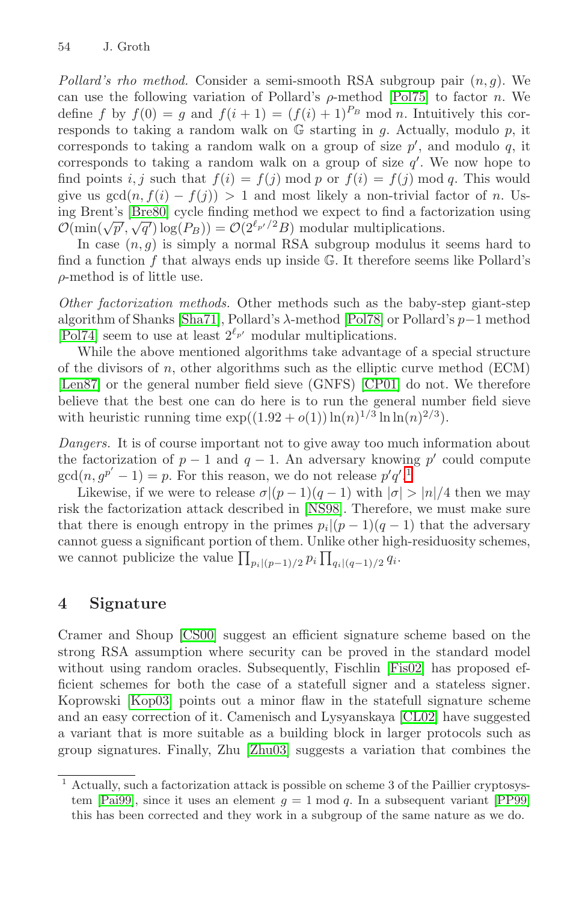*Pollard's rho method.* Consider a semi-smooth RSA subgroup pair  $(n, g)$ . We can use the following variation of Pollard's  $\rho$ -method [\[Pol75\]](#page-15-0) to factor n. We define f by  $f(0) = g$  and  $f(i + 1) = (f(i) + 1)^{P_B} \text{ mod } n$ . Intuitively this corresponds to taking a random walk on  $G$  starting in  $g$ . Actually, modulo  $p$ , it corresponds to taking a random walk on a group of size  $p'$ , and modulo  $q$ , it corresponds to taking a random walk on a group of size  $q'$ . We now hope to find points i, j such that  $f(i) = f(j) \mod p$  or  $f(i) = f(j) \mod q$ . This would give us  $gcd(n, f(i) - f(j)) > 1$  and most likely a non-trivial factor of n. Using Brent's [\[Bre80\]](#page-13-0) cycle finding method we expect to find a factorization using  $\mathcal{O}(\min(\sqrt{p'}, \sqrt{q'}) \log(P_B)) = \mathcal{O}(2^{\ell_{p'}/2}B)$  modular multiplications.

In case  $(n, q)$  is simply a normal RSA subgroup modulus it seems hard to find a function  $f$  that always ends up inside  $\mathbb{G}$ . It therefore seems like Pollard's  $\rho$ -method is of little use.

*Other factorization methods.* Other methods such as the baby-step giant-step algorithm of Shanks [\[Sha71\]](#page-15-0), Pollard's λ-method [\[Pol78\]](#page-15-0) or Pollard's p−1 method [\[Pol74\]](#page-15-0) seem to use at least  $2^{\ell_{p'}}$  modular multiplications.

While the above mentioned algorithms take advantage of a special structure of the divisors of  $n$ , other algorithms such as the elliptic curve method (ECM) [\[Len87\]](#page-14-0) or the general number field sieve (GNFS) [\[CP01\]](#page-14-0) do not. We therefore believe that the best one can do here is to run the general number field sieve with heuristic running time  $\exp((1.92 + o(1)) \ln(n)^{1/3} \ln \ln(n)^{2/3})$ .

*Dangers.* It is of course important not to give away too much information about the factorization of  $p-1$  and  $q-1$ . An adversary knowing p' could compute  $gcd(n, g^{p'} - 1) = p$ . For this reason, we do not release  $p'q'.<sup>1</sup>$ 

Likewise, if we were to release  $\sigma|(p-1)(q-1)$  with  $|\sigma| > |n|/4$  then we may risk the factorization attack described in [\[NS98\]](#page-15-0). Therefore, we must make sure that there is enough entropy in the primes  $p_i|(p-1)(q-1)$  that the adversary cannot guess a significant portion of them. Unlike other high-residuosity schemes, we cannot publicize the value  $\prod_{p_i|(p-1)/2} p_i \prod_{q_i|(q-1)/2} q_i$ .

# **4 Signature**

Cramer and Shoup [\[CS00\]](#page-14-0) suggest an efficient signature scheme based on the strong RSA assumption where security can be proved in the standard model without using random oracles. Subsequently, Fischlin [\[Fis02\]](#page-14-0) has proposed efficient schemes for both the case of a statefull signer and a stateless signer. Koprowski [\[Kop03\]](#page-14-0) points out a minor flaw in the statefull signature scheme and an easy correction of it. Camenisch and Lysyanskaya [\[CL02\]](#page-14-0) have suggested a variant that is more suitable as a building block in larger protocols such as group signatures. Finally, Zhu [\[Zhu03\]](#page-15-0) suggests a variation that combines the

<sup>1</sup> Actually, such a factorization attack is possible on scheme 3 of the Paillier cryptosys-tem [\[Pai99\]](#page-15-0), since it uses an element  $g = 1 \mod q$ . In a subsequent variant [\[PP99\]](#page-15-0) this has been corrected and they work in a subgroup of the same nature as we do.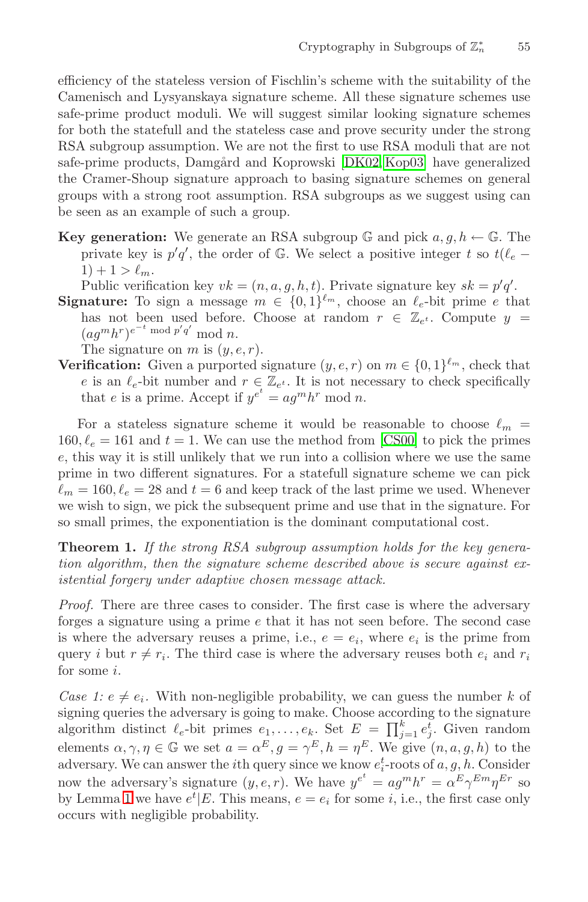efficiency of the stateless version of Fischlin's scheme with the suitability of the Camenisch and Lysyanskaya signature scheme. All these signature schemes use safe-prime product moduli. We will suggest similar looking signature schemes for both the statefull and the stateless case and prove security under the strong RSA subgroup assumption. We are not the first to use RSA moduli that are not safe-prime products, Damgård and Koprowski [\[DK02, Kop03\]](#page-14-0) have generalized the Cramer-Shoup signature approach to basing signature schemes on general groups with a strong root assumption. RSA subgroups as we suggest using can be seen as an example of such a group.

**Key generation:** We generate an RSA subgroup  $\mathbb{G}$  and pick  $a, g, h \leftarrow \mathbb{G}$ . The private key is  $p'q'$ , the order of  $\mathbb G$ . We select a positive integer t so  $t(\ell_e 1) + 1 > \ell_m.$ 

Public verification key  $vk = (n, a, g, h, t)$ . Private signature key  $sk = p'q'$ .

**Signature:** To sign a message  $m \in \{0,1\}^{\ell_m}$ , choose an  $\ell_e$ -bit prime e that has not been used before. Choose at random  $r \in \mathbb{Z}_{e^t}$ . Compute  $y =$  $(ag^m h^r)^{e^{-t} \bmod p'q'} \bmod n.$ 

The signature on m is  $(y, e, r)$ .

**Verification:** Given a purported signature  $(y, e, r)$  on  $m \in \{0, 1\}^{\ell_m}$ , check that e is an  $\ell_e$ -bit number and  $r \in \mathbb{Z}_{e^t}$ . It is not necessary to check specifically that e is a prime. Accept if  $y^{e^t} = a g^m h^r \bmod n$ .

For a stateless signature scheme it would be reasonable to choose  $\ell_m$  =  $160, \ell_e = 161$  and  $t = 1$ . We can use the method from [\[CS00\]](#page-14-0) to pick the primes e, this way it is still unlikely that we run into a collision where we use the same prime in two different signatures. For a statefull signature scheme we can pick  $\ell_m = 160, \ell_e = 28$  and  $t = 6$  and keep track of the last prime we used. Whenever we wish to sign, we pick the subsequent prime and use that in the signature. For so small primes, the exponentiation is the dominant computational cost.

**Theorem 1.** *If the strong RSA subgroup assumption holds for the key generation algorithm, then the signature scheme described above is secure against existential forgery under adaptive chosen message attack.*

*Proof.* There are three cases to consider. The first case is where the adversary forges a signature using a prime e that it has not seen before. The second case is where the adversary reuses a prime, i.e.,  $e = e_i$ , where  $e_i$  is the prime from query i but  $r \neq r_i$ . The third case is where the adversary reuses both  $e_i$  and  $r_i$ for some i.

*Case 1:*  $e \neq e_i$ . With non-negligible probability, we can guess the number k of signing queries the adversary is going to make. Choose according to the signature algorithm distinct  $\ell_e$ -bit primes  $e_1, \ldots, e_k$ . Set  $E = \prod_{j=1}^k e_j^{\tilde{t}}$ . Given random elements  $\alpha, \gamma, \eta \in \mathbb{G}$  we set  $a = \alpha^E, g = \gamma^E, h = \eta^E$ . We give  $(n, a, g, h)$  to the adversary. We can answer the *i*<sup>th</sup> query since we know  $e_i^t$ -roots of  $a, g, h$ . Consider now the adversary's signature  $(y, e, r)$ . We have  $y^{e^t} = a g^m h^r = \alpha^E \gamma^{Em} \eta^{Er}$  so by Lemma [1](#page-1-0) we have  $e^t | E$ . This means,  $e = e_i$  for some *i*, i.e., the first case only occurs with negligible probability.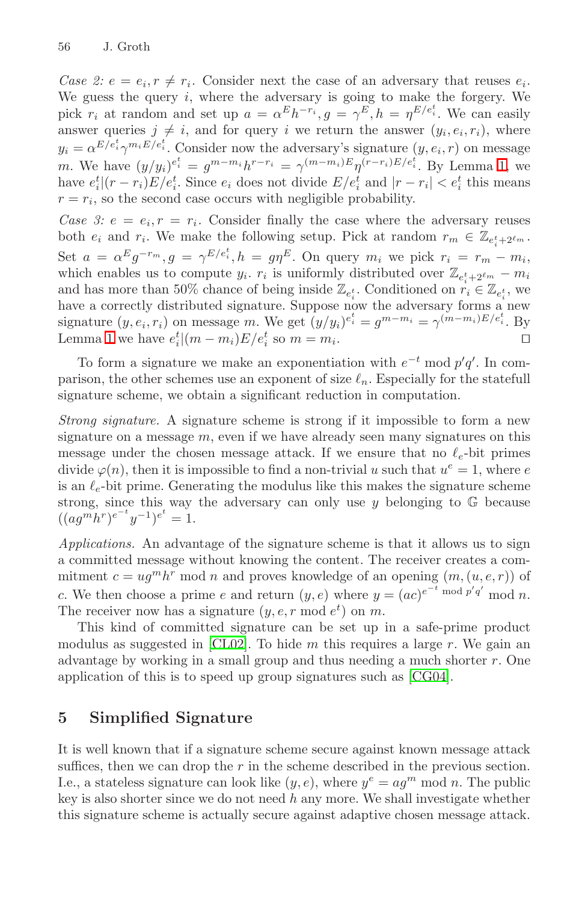*Case 2:*  $e = e_i$ ,  $r \neq r_i$ . Consider next the case of an adversary that reuses  $e_i$ . We guess the query  $i$ , where the adversary is going to make the forgery. We pick  $r_i$  at random and set up  $a = \alpha^E h^{-r_i}, g = \gamma^E, h = \eta^{E/e_i^t}$ . We can easily answer queries  $j \neq i$ , and for query i we return the answer  $(y_i, e_i, r_i)$ , where  $y_i = \alpha^{E/e_i^t} \gamma^{m_i E/e_i^t}$ . Consider now the adversary's signature  $(y, e_i, r)$  on message m. We have  $(y/y_i)^{e_i^t} = g^{m-m_i}h^{r-r_i} = \gamma^{(m-m_i)E} \eta^{(r-r_i)E/e_i^t}$ . By Lemma [1,](#page-1-0) we have  $e_i^t|(r-r_i)E/e_i^t$ . Since  $e_i$  does not divide  $E/e_i^t$  and  $|r-r_i| < e_i^t$  this means  $r = r_i$ , so the second case occurs with negligible probability.

*Case 3:*  $e = e_i$ ,  $r = r_i$ . Consider finally the case where the adversary reuses both  $e_i$  and  $r_i$ . We make the following setup. Pick at random  $r_m \in \mathbb{Z}_{e_i^t + 2^{\ell_m}}$ . Set  $a = \alpha^E g^{-r_m}$ ,  $g = \gamma^{E/e_i^t}$ ,  $h = g\eta^E$ . On query  $m_i$  we pick  $r_i = r_m - m_i$ , which enables us to compute  $y_i$ .  $r_i$  is uniformly distributed over  $\mathbb{Z}_{e_i^t+2^{\ell_m}} - m_i$ and has more than 50% chance of being inside  $\mathbb{Z}_{e_i^t}$ . Conditioned on  $r_i \in \mathbb{Z}_{e_i^t}$ , we have a correctly distributed signature. Suppose now the adversary forms a new signature  $(y, e_i, r_i)$  on message m. We get  $(y/y_i)^{e_i^t} = g^{m-m_i} = \gamma^{(m-m_i)E/e_i^t}$ . By Lemma [1](#page-1-0) we have  $e_i^t | (m - m_i)E/e_i^t$  so  $m = m_i$ .

To form a signature we make an exponentiation with  $e^{-t}$  mod  $p'q'$ . In comparison, the other schemes use an exponent of size  $\ell_n$ . Especially for the statefull signature scheme, we obtain a significant reduction in computation.

*Strong signature.* A signature scheme is strong if it impossible to form a new signature on a message  $m$ , even if we have already seen many signatures on this message under the chosen message attack. If we ensure that no  $\ell_e$ -bit primes divide  $\varphi(n)$ , then it is impossible to find a non-trivial u such that  $u^e = 1$ , where e is an  $\ell_e$ -bit prime. Generating the modulus like this makes the signature scheme strong, since this way the adversary can only use  $y$  belonging to  $\mathbb{G}$  because  $((ag^{\overrightarrow{m}}h^r)e^{-t}y^{-1})^{e^t}=1.$ 

*Applications.* An advantage of the signature scheme is that it allows us to sign a committed message without knowing the content. The receiver creates a commitment  $c = u g^m h^r$  mod n and proves knowledge of an opening  $(m,(u,e,r))$  of c. We then choose a prime e and return  $(y, e)$  where  $y = (ac)^{e^{-t} \bmod p'q'} \bmod n$ . The receiver now has a signature  $(y, e, r \mod e^t)$  on m.

This kind of committed signature can be set up in a safe-prime product modulus as suggested in [\[CL02\]](#page-14-0). To hide  $m$  this requires a large  $r$ . We gain an advantage by working in a small group and thus needing a much shorter  $r$ . One application of this is to speed up group signatures such as [\[CG04\]](#page-14-0).

# **5 Simplified Signature**

It is well known that if a signature scheme secure against known message attack suffices, then we can drop the  $r$  in the scheme described in the previous section. I.e., a stateless signature can look like  $(y, e)$ , where  $y^e = aq^m \mod n$ . The public key is also shorter since we do not need  $h$  any more. We shall investigate whether this signature scheme is actually secure against adaptive chosen message attack.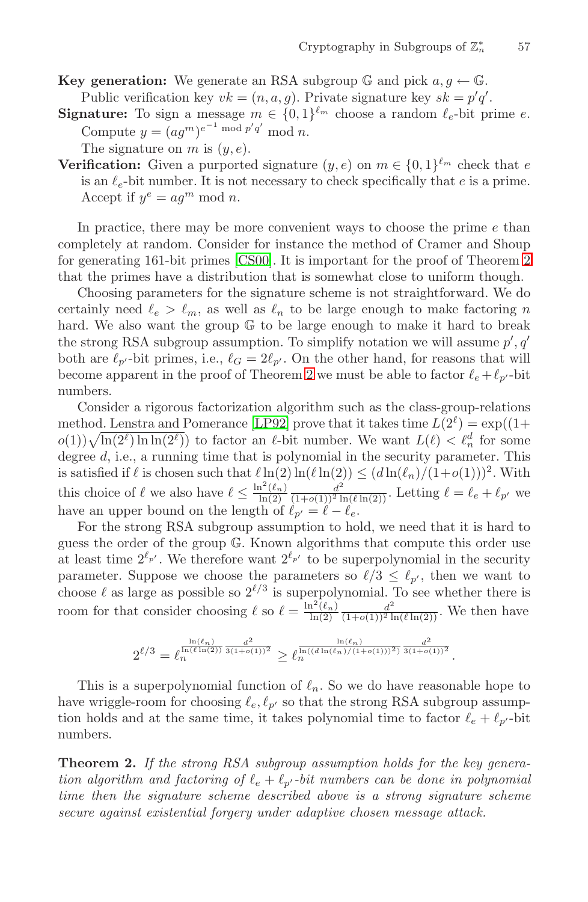**Key generation:** We generate an RSA subgroup  $\mathbb{G}$  and pick  $a, g \leftarrow \mathbb{G}$ .

Public verification key  $vk = (n, a, g)$ . Private signature key  $sk = p'q'$ .

**Signature:** To sign a message  $m \in \{0,1\}^{\ell_m}$  choose a random  $\ell_e$ -bit prime  $e$ . Compute  $y = (ag^m)^{e^{-1} \bmod p'q'} \bmod n$ .

The signature on  $m$  is  $(y, e)$ .

**Verification:** Given a purported signature  $(y, e)$  on  $m \in \{0, 1\}^{\ell_m}$  check that e is an  $\ell_e$ -bit number. It is not necessary to check specifically that  $e$  is a prime. Accept if  $y^e = a g^m \bmod n$ .

In practice, there may be more convenient ways to choose the prime e than completely at random. Consider for instance the method of Cramer and Shoup for generating 161-bit primes [\[CS00\]](#page-14-0). It is important for the proof of Theorem 2 that the primes have a distribution that is somewhat close to uniform though.

Choosing parameters for the signature scheme is not straightforward. We do certainly need  $\ell_e > \ell_m$ , as well as  $\ell_n$  to be large enough to make factoring n hard. We also want the group G to be large enough to make it hard to break the strong RSA subgroup assumption. To simplify notation we will assume  $p', q'$ both are  $\ell_{p'}$ -bit primes, i.e.,  $\ell_G = 2\ell_{p'}$ . On the other hand, for reasons that will become apparent in the proof of Theorem 2 we must be able to factor  $\ell_e + \ell_{p'}$ -bit numbers.

Consider a rigorous factorization algorithm such as the class-group-relations method. Lenstra and Pomerance [\[LP92\]](#page-14-0) prove that it takes time  $L(2^{\ell}) = \exp((1+\ell)\ell)$  $o(1)\sqrt{\ln(2^{\ell})\ln\ln(2^{\ell})}$  to factor an  $\ell$ -bit number. We want  $L(\ell) < \ell_n^d$  for some degree  $d$ , i.e., a running time that is polynomial in the security parameter. This is satisfied if  $\ell$  is chosen such that  $\ell \ln(2) \ln(\ell \ln(2)) \leq (d \ln(\ell_n)/(1+o(1)))^2$ . With this choice of  $\ell$  we also have  $\ell \leq \frac{\ln^2(\ell_n)}{\ln(2)} \frac{d^2}{(1+o(1))^2 \ln(\ell \ln(2))}$ . Letting  $\ell = \ell_e + \ell_{p'}$  we have an upper bound on the length of  $\ell_{p'} = \ell - \ell_e$ .

For the strong RSA subgroup assumption to hold, we need that it is hard to guess the order of the group G. Known algorithms that compute this order use at least time  $2^{\ell_{p'}}$ . We therefore want  $2^{\ell_{p'}}$  to be superpolynomial in the security parameter. Suppose we choose the parameters so  $\ell/3 \leq \ell_{p'}$ , then we want to choose  $\ell$  as large as possible so  $2^{\ell/3}$  is superpolynomial. To see whether there is room for that consider choosing  $\ell$  so  $\ell = \frac{\ln^2(\ell_n)}{\ln(2)} \frac{d^2}{(1+o(1))^2 \ln(\ell \ln(2))}$ . We then have

$$
2^{\ell/3} = \ell_n^{\frac{\ln(\ell_n)}{\ln(\ell\ln(2))}\frac{d^2}{3(1+o(1))^2}} \geq \ell_n^{\frac{\ln(\ell_n)}{\ln((d\ln(\ell_n)/(1+o(1)))^2)}\frac{d^2}{3(1+o(1))^2}}.
$$

This is a superpolynomial function of  $\ell_n$ . So we do have reasonable hope to have wriggle-room for choosing  $\ell_e, \ell_{p'}$  so that the strong RSA subgroup assumption holds and at the same time, it takes polynomial time to factor  $\ell_e + \ell_{p'}$ -bit numbers.

**Theorem 2.** *If the strong RSA subgroup assumption holds for the key generation algorithm and factoring of*  $\ell_e + \ell_{p'}$ -bit numbers can be done in polynomial *time then the signature scheme described above is a strong signature scheme secure against existential forgery under adaptive chosen message attack.*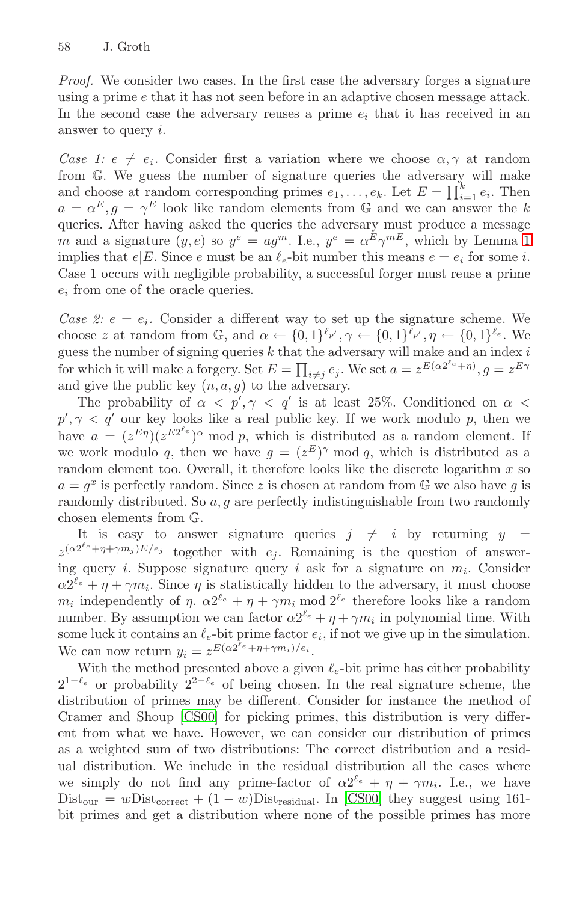*Proof.* We consider two cases. In the first case the adversary forges a signature using a prime e that it has not seen before in an adaptive chosen message attack. In the second case the adversary reuses a prime  $e_i$  that it has received in an answer to query i.

*Case 1:*  $e \neq e_i$ . Consider first a variation where we choose  $\alpha, \gamma$  at random from G. We guess the number of signature queries the adversary will make and choose at random corresponding primes  $e_1, \ldots, e_k$ . Let  $E = \prod_{i=1}^k e_i$ . Then  $a = \alpha^E, q = \gamma^E$  look like random elements from G and we can answer the k queries. After having asked the queries the adversary must produce a message m and a signature  $(y, e)$  so  $y^e = a g^m$ . I.e.,  $y^e = \alpha^E \gamma^{mE}$ , which by Lemma [1](#page-1-0) implies that  $e|E$ . Since e must be an  $\ell_e$ -bit number this means  $e = e_i$  for some i. Case 1 occurs with negligible probability, a successful forger must reuse a prime  $e_i$  from one of the oracle queries.

*Case 2:*  $e = e_i$ . Consider a different way to set up the signature scheme. We choose z at random from  $\mathbb{G}$ , and  $\alpha \leftarrow \{0,1\}^{\ell_{p'}}, \gamma \leftarrow \{0,1\}^{\ell_{p'}}, \eta \leftarrow \{0,1\}^{\ell_e}$ . We guess the number of signing queries  $k$  that the adversary will make and an index  $i$ for which it will make a forgery. Set  $E = \prod_{i \neq j} e_j$ . We set  $a = z^{E(\alpha 2^{\ell_e} + \eta)}, g = z^{E\gamma}$ and give the public key  $(n, a, g)$  to the adversary.

The probability of  $\alpha < p', \gamma < q'$  is at least 25%. Conditioned on  $\alpha <$  $p', \gamma < q'$  our key looks like a real public key. If we work modulo p, then we have  $a = (z^{E\eta})(z^{E2^{\ell_e}})^{\alpha} \mod p$ , which is distributed as a random element. If we work modulo q, then we have  $g = (z^E)^\gamma \mod q$ , which is distributed as a random element too. Overall, it therefore looks like the discrete logarithm  $x$  so  $a = g^x$  is perfectly random. Since z is chosen at random from  $\mathbb{G}$  we also have g is randomly distributed. So  $a, g$  are perfectly indistinguishable from two randomly chosen elements from G.

It is easy to answer signature queries  $j \neq i$  by returning  $y =$  $z^{(\alpha 2^{\ell_e} + \eta + \gamma m_j)E/e_j}$  together with  $e_i$ . Remaining is the question of answering query *i*. Suppose signature query *i* ask for a signature on  $m_i$ . Consider  $\alpha 2^{\ell_e} + \eta + \gamma m_i$ . Since  $\eta$  is statistically hidden to the adversary, it must choose  $m_i$  independently of  $\eta$ .  $\alpha 2^{\ell_e} + \eta + \gamma m_i$  mod  $2^{\ell_e}$  therefore looks like a random number. By assumption we can factor  $\alpha 2^{\ell_e} + \eta + \gamma m_i$  in polynomial time. With some luck it contains an  $\ell_e$ -bit prime factor  $e_i$ , if not we give up in the simulation. We can now return  $y_i = z^{E(\alpha 2^{\ell_e} + \eta + \gamma m_i)/e_i}$ .

With the method presented above a given  $\ell_e$ -bit prime has either probability  $2^{1-\ell_e}$  or probability  $2^{2-\ell_e}$  of being chosen. In the real signature scheme, the distribution of primes may be different. Consider for instance the method of Cramer and Shoup [\[CS00\]](#page-14-0) for picking primes, this distribution is very different from what we have. However, we can consider our distribution of primes as a weighted sum of two distributions: The correct distribution and a residual distribution. We include in the residual distribution all the cases where we simply do not find any prime-factor of  $\alpha 2^{\ell_e} + \eta + \gamma m_i$ . I.e., we have Dist<sub>our</sub> = wDist<sub>correct</sub> +  $(1 - w)$ Dist<sub>residual</sub>. In [\[CS00\]](#page-14-0) they suggest using 161bit primes and get a distribution where none of the possible primes has more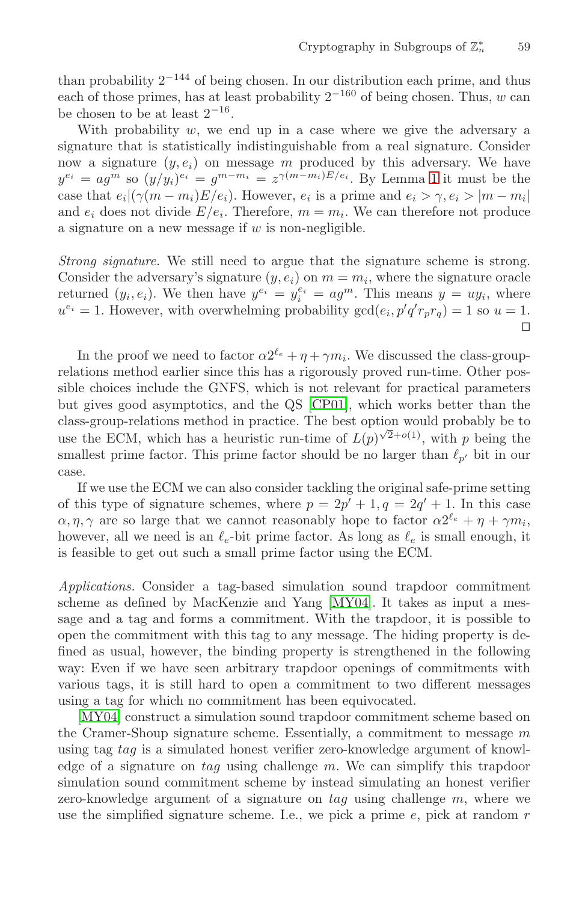than probability  $2^{-144}$  of being chosen. In our distribution each prime, and thus each of those primes, has at least probability  $2^{-160}$  of being chosen. Thus, w can be chosen to be at least  $2^{-16}$ .

With probability  $w$ , we end up in a case where we give the adversary a signature that is statistically indistinguishable from a real signature. Consider now a signature  $(y, e_i)$  on message m produced by this adversary. We have  $y^{e_i} = a g^{\tilde{m}}$  so  $(y/y_i)^{e_i} = g^{m-m_i} = z^{\gamma(m-m_i)E/e_i}$ . By Lemma [1](#page-1-0) it must be the case that  $e_i|(\gamma(m-m_i)E/e_i)$ . However,  $e_i$  is a prime and  $e_i > \gamma, e_i > |m-m_i|$ and  $e_i$  does not divide  $E/e_i$ . Therefore,  $m = m_i$ . We can therefore not produce a signature on a new message if  $w$  is non-negligible.

*Strong signature.* We still need to argue that the signature scheme is strong. Consider the adversary's signature  $(y, e_i)$  on  $m = m_i$ , where the signature oracle returned  $(y_i, e_i)$ . We then have  $y^{e_i} = y_i^{e_i} = a g^m$ . This means  $y = u y_i$ , where  $u^{e_i} = 1$ . However, with overwhelming probability  $gcd(e_i, p'q'r_pr_q) = 1$  so  $u = 1$ . □

In the proof we need to factor  $\alpha 2^{\ell_e} + \eta + \gamma m_i$ . We discussed the class-grouprelations method earlier since this has a rigorously proved run-time. Other possible choices include the GNFS, which is not relevant for practical parameters but gives good asymptotics, and the QS [\[CP01\]](#page-14-0), which works better than the class-group-relations method in practice. The best option would probably be to use the ECM, which has a heuristic run-time of  $L(p)^{\sqrt{2}+o(1)}$ , with p being the smallest prime factor. This prime factor should be no larger than  $\ell_{p'}$  bit in our case.

If we use the ECM we can also consider tackling the original safe-prime setting of this type of signature schemes, where  $p = 2p' + 1, q = 2q' + 1$ . In this case  $\alpha, \eta, \gamma$  are so large that we cannot reasonably hope to factor  $\alpha 2^{\ell_e} + \eta + \gamma m_i$ , however, all we need is an  $\ell_e$ -bit prime factor. As long as  $\ell_e$  is small enough, it is feasible to get out such a small prime factor using the ECM.

*Applications.* Consider a tag-based simulation sound trapdoor commitment scheme as defined by MacKenzie and Yang [\[MY04\]](#page-14-0). It takes as input a message and a tag and forms a commitment. With the trapdoor, it is possible to open the commitment with this tag to any message. The hiding property is defined as usual, however, the binding property is strengthened in the following way: Even if we have seen arbitrary trapdoor openings of commitments with various tags, it is still hard to open a commitment to two different messages using a tag for which no commitment has been equivocated.

[\[MY04\]](#page-14-0) construct a simulation sound trapdoor commitment scheme based on the Cramer-Shoup signature scheme. Essentially, a commitment to message  $m$ using tag tag is a simulated honest verifier zero-knowledge argument of knowledge of a signature on  $tag$  using challenge  $m$ . We can simplify this trapdoor simulation sound commitment scheme by instead simulating an honest verifier zero-knowledge argument of a signature on  $tag$  using challenge  $m$ , where we use the simplified signature scheme. I.e., we pick a prime  $e$ , pick at random  $r$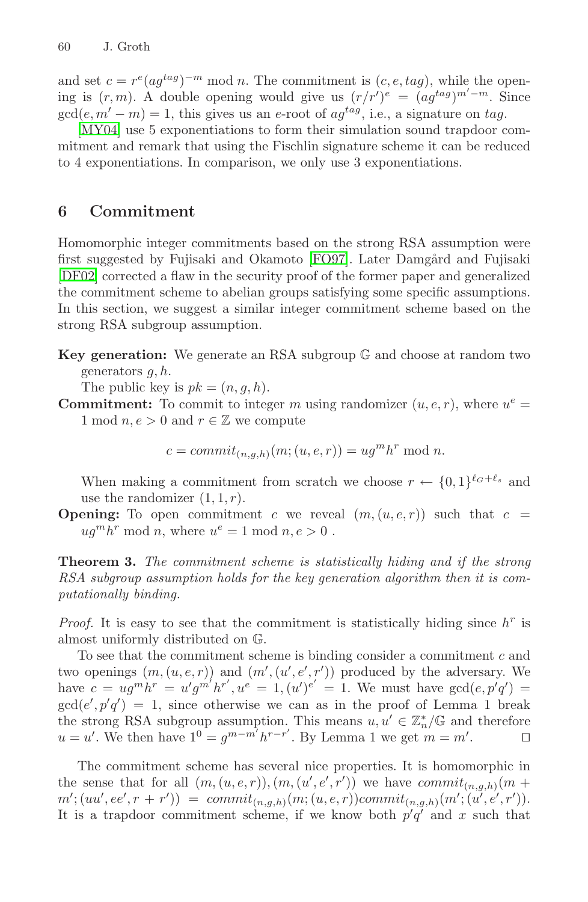and set  $c = r^e (ag^{tag})^{-m} \text{ mod } n$ . The commitment is  $(c, e, tag)$ , while the opening is  $(r, m)$ . A double opening would give us  $(r/r')^e = (ag^{tag})^{m'-m}$ . Since  $gcd(e, m'-m) = 1$ , this gives us an e-root of  $ag^{tag}$ , i.e., a signature on tag.

[\[MY04\]](#page-14-0) use 5 exponentiations to form their simulation sound trapdoor commitment and remark that using the Fischlin signature scheme it can be reduced to 4 exponentiations. In comparison, we only use 3 exponentiations.

## **6 Commitment**

Homomorphic integer commitments based on the strong RSA assumption were first suggested by Fujisaki and Okamoto [\[FO97\]](#page-14-0). Later Damgård and Fujisaki [\[DF02\]](#page-14-0) corrected a flaw in the security proof of the former paper and generalized the commitment scheme to abelian groups satisfying some specific assumptions. In this section, we suggest a similar integer commitment scheme based on the strong RSA subgroup assumption.

**Key generation:** We generate an RSA subgroup G and choose at random two generators  $g, h$ .

The public key is  $pk = (n, q, h)$ .

**Commitment:** To commit to integer m using randomizer  $(u, e, r)$ , where  $u^e =$ 1 mod  $n, e > 0$  and  $r \in \mathbb{Z}$  we compute

$$
c = commit_{(n,g,h)}(m;(u,e,r)) = ugmhr \bmod n.
$$

When making a commitment from scratch we choose  $r \leftarrow \{0,1\}^{\ell_G+\ell_s}$  and use the randomizer  $(1, 1, r)$ .

**Opening:** To open commitment c we reveal  $(m,(u,e,r))$  such that  $c =$  $ug<sup>m</sup>h<sup>r</sup>$  mod n, where  $u<sup>e</sup> = 1$  mod  $n, e > 0$ .

**Theorem 3.** *The commitment scheme is statistically hiding and if the strong RSA subgroup assumption holds for the key generation algorithm then it is computationally binding.*

*Proof.* It is easy to see that the commitment is statistically hiding since  $h^r$  is almost uniformly distributed on G.

To see that the commitment scheme is binding consider a commitment c and two openings  $(m,(u,e,r))$  and  $(m',(u',e',r'))$  produced by the adversary. We have  $c = u g^m h^r = u' g^{m'} h^{r'}$ ,  $u^e = 1$ ,  $(u')^{e'} = 1$ . We must have  $gcd(e, p'q') =$  $gcd(e', p'q') = 1$ , since otherwise we can as in the proof of Lemma 1 break the strong RSA subgroup assumption. This means  $u, u' \in \mathbb{Z}_n^*/\mathbb{G}$  and therefore  $u = u'$ . We then have  $1^0 = g^{m-m'} h^{r-r'}$ . By Lemma 1 we get  $m = m'$ .

The commitment scheme has several nice properties. It is homomorphic in the sense that for all  $(m,(u,e,r)),(m,(u',e',r'))$  we have  $commit_{(n,g,h)}(m +$  $m'$ ;  $(uu', ee', r + r')$  =  $commit_{(n,g,h)}(m; (u, e, r)) commit_{(n,g,h)}(m'; (u', e', r')).$ It is a trapdoor commitment scheme, if we know both  $p'q'$  and x such that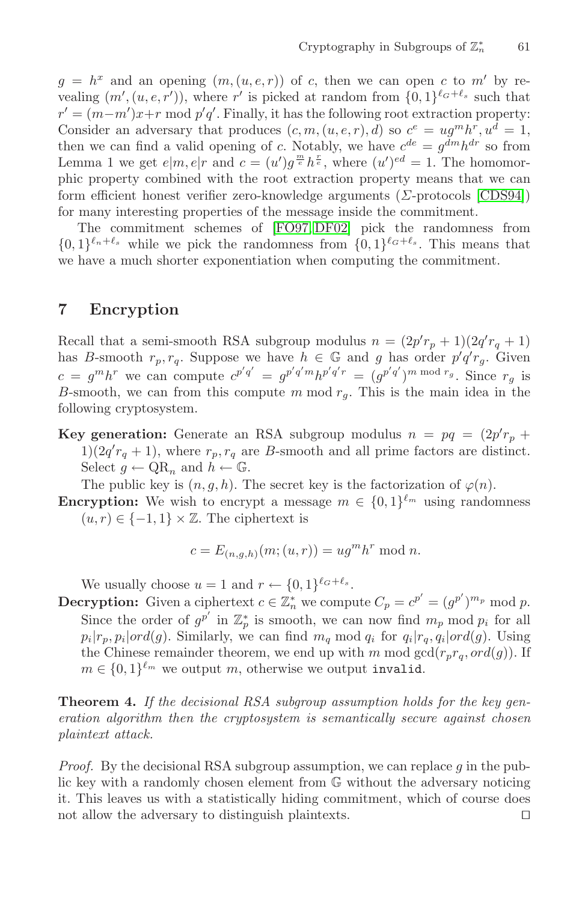<span id="page-11-0"></span> $g = h^x$  and an opening  $(m, (u, e, r))$  of c, then we can open c to m' by revealing  $(m', (u, e, r'))$ , where r' is picked at random from  $\{0, 1\}^{\ell_G + \ell_s}$  such that  $r' = (m-m')x+r \mod p'q'.$  Finally, it has the following root extraction property: Consider an adversary that produces  $(c, m, (u, e, r), d)$  so  $c^e = u g^m h^r, u^d = 1$ , then we can find a valid opening of c. Notably, we have  $c^{de} = g^{dm}h^{dr}$  so from Lemma 1 we get  $e|m, e|r$  and  $c = (u')g^{\frac{m}{e}}h^{\frac{r}{e}},$  where  $(u')^{ed} = 1$ . The homomorphic property combined with the root extraction property means that we can form efficient honest verifier zero-knowledge arguments (Σ-protocols [\[CDS94\]](#page-13-0)) for many interesting properties of the message inside the commitment.

The commitment schemes of [\[FO97, DF02\]](#page-14-0) pick the randomness from  $\{0,1\}^{\ell_n+\ell_s}$  while we pick the randomness from  $\{0,1\}^{\ell_G+\ell_s}$ . This means that we have a much shorter exponentiation when computing the commitment.

## **7 Encryption**

Recall that a semi-smooth RSA subgroup modulus  $n = (2p'r_p + 1)(2q'r_q + 1)$ has B-smooth  $r_p, r_q$ . Suppose we have  $h \in \mathbb{G}$  and g has order  $p'q'r_g$ . Given  $c = g^m h^r$  we can compute  $c^{p'q'} = g^{p'q'm} h^{p'q'r} = (g^{p'q'})^m \bmod r_g$ . Since  $r_g$  is B-smooth, we can from this compute m mod  $r<sub>g</sub>$ . This is the main idea in the following cryptosystem.

**Key generation:** Generate an RSA subgroup modulus  $n = pq = (2p'r_p + q)$  $1(2q' r_q + 1)$ , where  $r_p, r_q$  are B-smooth and all prime factors are distinct. Select  $g \leftarrow \text{QR}_n$  and  $h \leftarrow \mathbb{G}$ .

The public key is  $(n, g, h)$ . The secret key is the factorization of  $\varphi(n)$ .

**Encryption:** We wish to encrypt a message  $m \in \{0,1\}^{\ell_m}$  using randomness  $(u, r) \in \{-1, 1\} \times \mathbb{Z}$ . The ciphertext is

$$
c = E_{(n,g,h)}(m;(u,r)) = ugmhr \bmod n.
$$

We usually choose  $u = 1$  and  $r \leftarrow \{0, 1\}^{\ell_G + \ell_s}$ .

**Decryption:** Given a ciphertext  $c \in \mathbb{Z}_n^*$  we compute  $C_p = c^{p'} = (g^{p'})^{m_p} \text{ mod } p$ . Since the order of  $g^{p'}$  in  $\mathbb{Z}_p^*$  is smooth, we can now find  $m_p \mod p_i$  for all  $p_i|r_p, p_i| \text{ord}(g)$ . Similarly, we can find  $m_q$  mod  $q_i$  for  $q_i|r_q, q_i| \text{ord}(g)$ . Using the Chinese remainder theorem, we end up with m mod  $gcd(r_p r_q, ord(g))$ . If  $m \in \{0,1\}^{\ell_m}$  we output m, otherwise we output invalid.

**Theorem 4.** *If the decisional RSA subgroup assumption holds for the key generation algorithm then the cryptosystem is semantically secure against chosen plaintext attack.*

*Proof.* By the decisional RSA subgroup assumption, we can replace  $g$  in the public key with a randomly chosen element from G without the adversary noticing it. This leaves us with a statistically hiding commitment, which of course does not allow the adversary to distinguish plaintexts.  $\Box$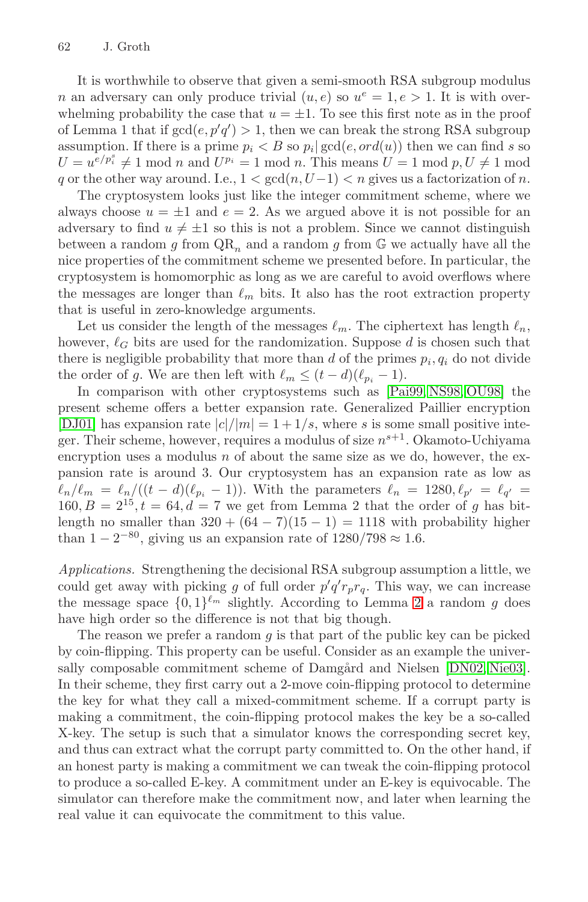It is worthwhile to observe that given a semi-smooth RSA subgroup modulus n an adversary can only produce trivial  $(u, e)$  so  $u^e = 1, e > 1$ . It is with overwhelming probability the case that  $u = \pm 1$ . To see this first note as in the proof of Lemma 1 that if  $gcd(e, p'q') > 1$ , then we can break the strong RSA subgroup assumption. If there is a prime  $p_i < B$  so  $p_i | \gcd(e, ord(u))$  then we can find s so  $U = u^{e/p_i^s} \neq 1 \text{ mod } n$  and  $U^{p_i} = 1 \text{ mod } n$ . This means  $U = 1 \text{ mod } p, U \neq 1 \text{ mod } n$ q or the other way around. I.e.,  $1 < \gcd(n, U-1) < n$  gives us a factorization of n.

The cryptosystem looks just like the integer commitment scheme, where we always choose  $u = \pm 1$  and  $e = 2$ . As we argued above it is not possible for an adversary to find  $u \neq \pm 1$  so this is not a problem. Since we cannot distinguish between a random g from  $QR_n$  and a random g from  $\mathbb{G}$  we actually have all the nice properties of the commitment scheme we presented before. In particular, the cryptosystem is homomorphic as long as we are careful to avoid overflows where the messages are longer than  $\ell_m$  bits. It also has the root extraction property that is useful in zero-knowledge arguments.

Let us consider the length of the messages  $\ell_m$ . The ciphertext has length  $\ell_n$ , however,  $\ell_G$  bits are used for the randomization. Suppose d is chosen such that there is negligible probability that more than d of the primes  $p_i, q_i$  do not divide the order of g. We are then left with  $\ell_m \leq (t-d)(\ell_{p_i}-1)$ .

In comparison with other cryptosystems such as [\[Pai99, NS98, OU98\]](#page-15-0) the present scheme offers a better expansion rate. Generalized Paillier encryption [\[DJ01\]](#page-14-0) has expansion rate  $|c|/|m| = 1+1/s$ , where s is some small positive integer. Their scheme, however, requires a modulus of size  $n^{s+1}$ . Okamoto-Uchiyama encryption uses a modulus  $n$  of about the same size as we do, however, the expansion rate is around 3. Our cryptosystem has an expansion rate as low as  $\ell_n/\ell_m = \ell_n/((t-d)(\ell_{p_i}-1)).$  With the parameters  $\ell_n = 1280, \ell_{p'} = \ell_{q'} =$  $160, B = 2^{15}, t = 64, d = 7$  we get from Lemma 2 that the order of g has bitlength no smaller than  $320 + (64 - 7)(15 - 1) = 1118$  with probability higher than  $1 - 2^{-80}$ , giving us an expansion rate of  $1280/798 \approx 1.6$ .

*Applications.* Strengthening the decisional RSA subgroup assumption a little, we could get away with picking g of full order  $p'q'r_pr_q$ . This way, we can increase the message space  $\{0,1\}^{\ell_m}$  slightly. According to Lemma [2](#page-3-0) a random g does have high order so the difference is not that big though.

The reason we prefer a random  $g$  is that part of the public key can be picked by coin-flipping. This property can be useful. Consider as an example the univer-sally composable commitment scheme of Damgård and Nielsen [\[DN02,](#page-14-0) [Nie03\]](#page-15-0). In their scheme, they first carry out a 2-move coin-flipping protocol to determine the key for what they call a mixed-commitment scheme. If a corrupt party is making a commitment, the coin-flipping protocol makes the key be a so-called X-key. The setup is such that a simulator knows the corresponding secret key, and thus can extract what the corrupt party committed to. On the other hand, if an honest party is making a commitment we can tweak the coin-flipping protocol to produce a so-called E-key. A commitment under an E-key is equivocable. The simulator can therefore make the commitment now, and later when learning the real value it can equivocate the commitment to this value.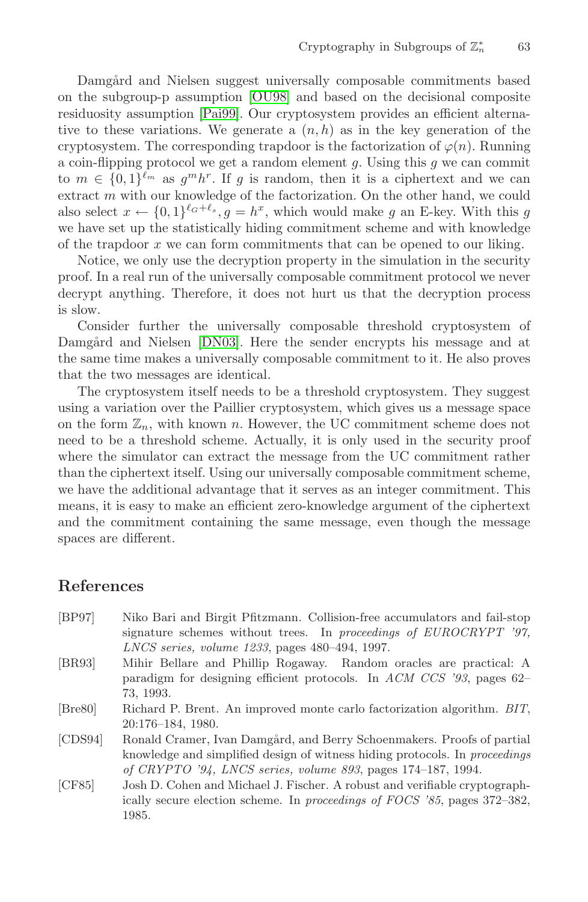<span id="page-13-0"></span>Damgård and Nielsen suggest universally composable commitments based on the subgroup-p assumption [\[OU98\]](#page-15-0) and based on the decisional composite residuosity assumption [\[Pai99\]](#page-15-0). Our cryptosystem provides an efficient alternative to these variations. We generate a  $(n, h)$  as in the key generation of the cryptosystem. The corresponding trapdoor is the factorization of  $\varphi(n)$ . Running a coin-flipping protocol we get a random element  $g$ . Using this  $g$  we can commit to  $m \in \{0,1\}^{\ell_m}$  as  $g^m h^r$ . If g is random, then it is a ciphertext and we can extract m with our knowledge of the factorization. On the other hand, we could also select  $x \leftarrow \{0,1\}^{\ell_G+\ell_s}, g = h^x$ , which would make g an E-key. With this g we have set up the statistically hiding commitment scheme and with knowledge of the trapdoor  $x$  we can form commitments that can be opened to our liking.

Notice, we only use the decryption property in the simulation in the security proof. In a real run of the universally composable commitment protocol we never decrypt anything. Therefore, it does not hurt us that the decryption process is slow.

Consider further the universally composable threshold cryptosystem of Damgård and Nielsen [\[DN03\]](#page-14-0). Here the sender encrypts his message and at the same time makes a universally composable commitment to it. He also proves that the two messages are identical.

The cryptosystem itself needs to be a threshold cryptosystem. They suggest using a variation over the Paillier cryptosystem, which gives us a message space on the form  $\mathbb{Z}_n$ , with known n. However, the UC commitment scheme does not need to be a threshold scheme. Actually, it is only used in the security proof where the simulator can extract the message from the UC commitment rather than the ciphertext itself. Using our universally composable commitment scheme, we have the additional advantage that it serves as an integer commitment. This means, it is easy to make an efficient zero-knowledge argument of the ciphertext and the commitment containing the same message, even though the message spaces are different.

## **References**

- [BP97] Niko Bari and Birgit Pfitzmann. Collision-free accumulators and fail-stop signature schemes without trees. In proceedings of EUROCRYPT '97, LNCS series, volume 1233, pages 480–494, 1997. [BR93] Mihir Bellare and Phillip Rogaway. Random oracles are practical: A
- paradigm for designing efficient protocols. In ACM CCS '93, pages 62– 73, 1993.
- [Bre80] Richard P. Brent. An improved monte carlo factorization algorithm. BIT, 20:176–184, 1980.
- [CDS94] Ronald Cramer, Ivan Damgård, and Berry Schoenmakers. Proofs of partial knowledge and simplified design of witness hiding protocols. In proceedings of CRYPTO '94, LNCS series, volume 893, pages 174–187, 1994.
- [CF85] Josh D. Cohen and Michael J. Fischer. A robust and verifiable cryptographically secure election scheme. In proceedings of FOCS '85, pages 372–382, 1985.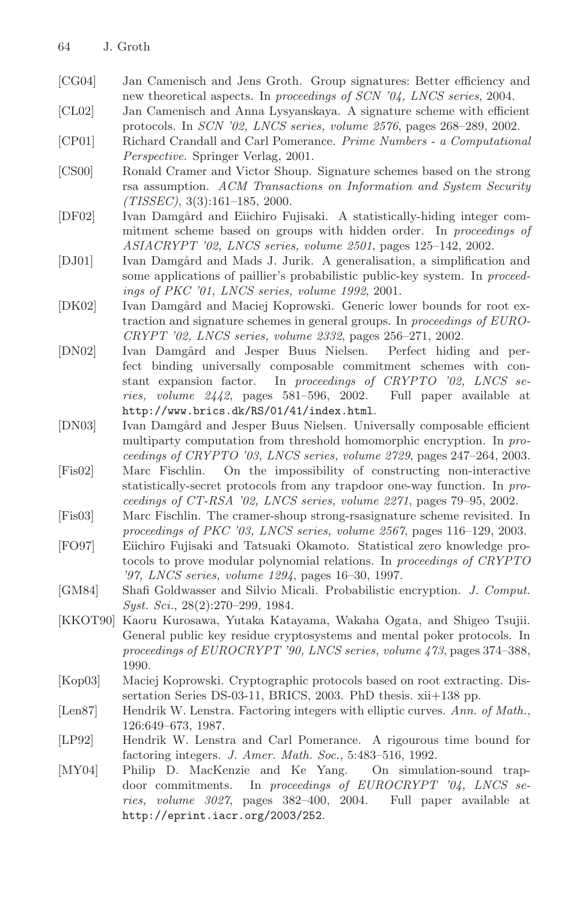- <span id="page-14-0"></span>[CG04] Jan Camenisch and Jens Groth. Group signatures: Better efficiency and new theoretical aspects. In proceedings of SCN '04, LNCS series, 2004.
- [CL02] Jan Camenisch and Anna Lysyanskaya. A signature scheme with efficient protocols. In SCN '02, LNCS series, volume 2576, pages 268–289, 2002.
- [CP01] Richard Crandall and Carl Pomerance. Prime Numbers a Computational Perspective. Springer Verlag, 2001.
- [CS00] Ronald Cramer and Victor Shoup. Signature schemes based on the strong rsa assumption. ACM Transactions on Information and System Security  $(TISSEC), 3(3):161-185, 2000.$
- [DF02] Ivan Damgård and Eiichiro Fujisaki. A statistically-hiding integer commitment scheme based on groups with hidden order. In proceedings of ASIACRYPT '02, LNCS series, volume 2501, pages 125–142, 2002.
- [DJ01] Ivan Damgård and Mads J. Jurik. A generalisation, a simplification and some applications of paillier's probabilistic public-key system. In proceedings of PKC '01, LNCS series, volume 1992, 2001.
- [DK02] Ivan Damgård and Maciej Koprowski. Generic lower bounds for root extraction and signature schemes in general groups. In proceedings of EURO-CRYPT '02, LNCS series, volume 2332, pages 256–271, 2002.
- [DN02] Ivan Damgård and Jesper Buus Nielsen. Perfect hiding and perfect binding universally composable commitment schemes with constant expansion factor. In proceedings of CRYPTO '02, LNCS series, volume 2442, pages 581–596, 2002. Full paper available at http://www.brics.dk/RS/01/41/index.html.
- [DN03] Ivan Damgård and Jesper Buus Nielsen. Universally composable efficient multiparty computation from threshold homomorphic encryption. In proceedings of CRYPTO '03, LNCS series, volume 2729, pages 247–264, 2003.
- [Fis02] Marc Fischlin. On the impossibility of constructing non-interactive statistically-secret protocols from any trapdoor one-way function. In proceedings of CT-RSA '02, LNCS series, volume 2271, pages 79–95, 2002.
- [Fis03] Marc Fischlin. The cramer-shoup strong-rsasignature scheme revisited. In proceedings of PKC '03, LNCS series, volume 2567, pages 116–129, 2003.
- [FO97] Eiichiro Fujisaki and Tatsuaki Okamoto. Statistical zero knowledge protocols to prove modular polynomial relations. In proceedings of CRYPTO '97, LNCS series, volume 1294, pages 16–30, 1997.
- [GM84] Shafi Goldwasser and Silvio Micali. Probabilistic encryption. J. Comput. Syst. Sci., 28(2):270–299, 1984.
- [KKOT90] Kaoru Kurosawa, Yutaka Katayama, Wakaha Ogata, and Shigeo Tsujii. General public key residue cryptosystems and mental poker protocols. In proceedings of EUROCRYPT '90, LNCS series, volume 473, pages 374–388, 1990.
- [Kop03] Maciej Koprowski. Cryptographic protocols based on root extracting. Dissertation Series DS-03-11, BRICS, 2003. PhD thesis. xii+138 pp.
- [Len87] Hendrik W. Lenstra. Factoring integers with elliptic curves. Ann. of Math., 126:649–673, 1987.
- [LP92] Hendrik W. Lenstra and Carl Pomerance. A rigourous time bound for factoring integers. J. Amer. Math. Soc., 5:483–516, 1992.
- [MY04] Philip D. MacKenzie and Ke Yang. On simulation-sound trapdoor commitments. In proceedings of EUROCRYPT '04, LNCS series, volume 3027, pages 382–400, 2004. Full paper available at http://eprint.iacr.org/2003/252.